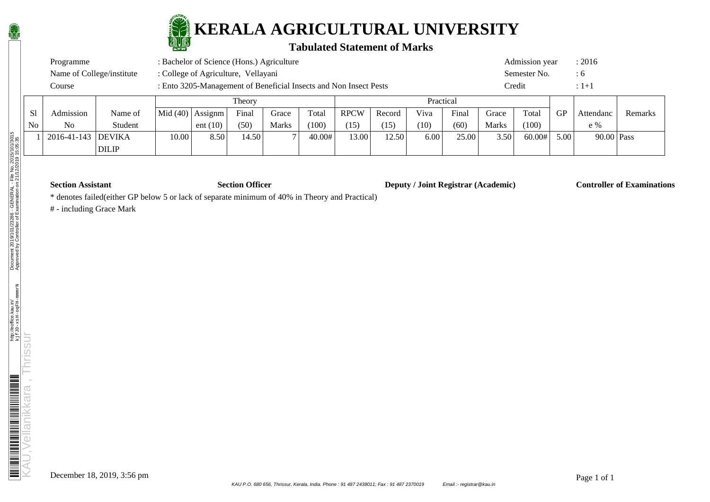

### **Tabulated Statement of Marks**

|    | : Bachelor of Science (Hons.) Agriculture<br>Programme<br>: College of Agriculture, Vellayani |         |        |                                                                   |       |       |       |             |        |      |           |       | Admission year |    | : 2016     |
|----|-----------------------------------------------------------------------------------------------|---------|--------|-------------------------------------------------------------------|-------|-------|-------|-------------|--------|------|-----------|-------|----------------|----|------------|
|    | Name of College/institute                                                                     |         |        |                                                                   |       |       |       |             |        |      |           |       | Semester No.   |    | $\colon$ 6 |
|    | Course                                                                                        |         |        | : Ento 3205-Management of Beneficial Insects and Non Insect Pests |       |       |       |             |        |      |           |       | ∑redit         |    | $:1 + 1$   |
|    |                                                                                               |         | Theory |                                                                   |       |       |       |             |        |      | Practical |       |                |    |            |
| Sl | Admission                                                                                     | Name of |        | $ Mid(40) $ Assignm $ $                                           | Final | Grace | Total | <b>RPCW</b> | Record | Viva | Final     | Grace | Total          | GP | Attendanc  |

| S1 | Admission          | Name of      |                   | Mid $(40)$ Assignm | Final | Grace | Total  | <b>RPCW</b> | Record | Viva | Final | Grace        | Total  | GP   | Attendanc    | Remarks |
|----|--------------------|--------------|-------------------|--------------------|-------|-------|--------|-------------|--------|------|-------|--------------|--------|------|--------------|---------|
| No | N <sub>0</sub>     | Student      |                   | ent $(10)$         | (50)  | Marks | (100)  | (15)        | (15)   | (10) | (60)  | <b>Marks</b> | (100)  |      | e %          |         |
|    | 2016-41-143 DEVIKA |              | 0.00 <sub>1</sub> | 8.50               | 14.50 |       | 40.00# | 13.00       | 12.50  | 6.00 | 25.00 | 3.50         | 60.00# | 5.00 | $90.00$ Pass |         |
|    |                    | <b>DILIP</b> |                   |                    |       |       |        |             |        |      |       |              |        |      |              |         |

**Section Assistant Section Officer Deputy / Joint Registrar (Academic) Controller of Examinations** 

\* denotes failed(either GP below 5 or lack of separate minimum of 40% in Theory and Practical)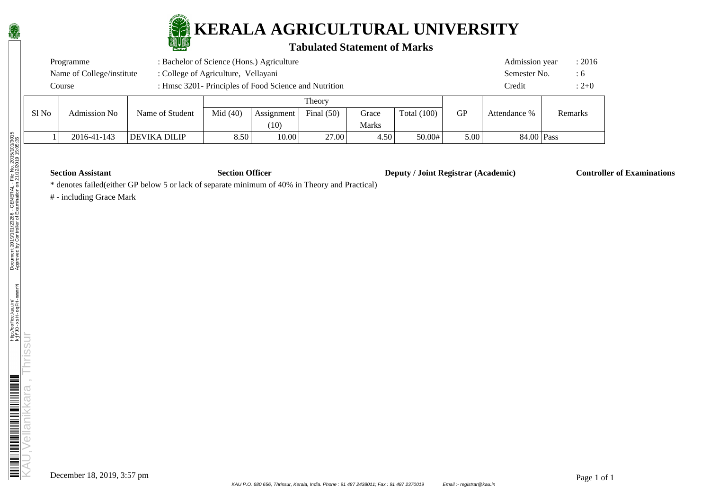

#### **Tabulated Statement of Marks**

|       | Programme                 |                 | Admission year                      |            | : 2016       |                           |               |    |              |         |     |
|-------|---------------------------|-----------------|-------------------------------------|------------|--------------|---------------------------|---------------|----|--------------|---------|-----|
|       | Name of College/institute |                 | : College of Agriculture, Vellayani |            |              |                           |               |    | Semester No. |         | : 6 |
|       | Course                    |                 | Credit                              |            | $: 2 + 0$    |                           |               |    |              |         |     |
|       |                           |                 |                                     |            | Theory       |                           |               |    |              |         |     |
| S1 No | <b>Admission No</b>       | Name of Student | Mid(40)                             | Assignment | Final $(50)$ | Grace                     | Total $(100)$ | GP | Attendance % | Remarks |     |
|       |                           |                 |                                     | (10)       |              | $\mathbf{r}$ $\mathbf{r}$ |               |    |              |         |     |

| Admission No | Name of Student               | Mid $(40)$        | Assignment<br>$\overline{10}$<br>TÛ | Final $(50)$ | Grace<br><b>Marks</b> | Total<br>(100) | GР   | Attendance % | Remarks |  |
|--------------|-------------------------------|-------------------|-------------------------------------|--------------|-----------------------|----------------|------|--------------|---------|--|
| 2016-41-143  | <b>DILIP</b><br><b>DEVIKA</b> | 5.50 <sup>2</sup> | 10.00                               | 27.00        | 4.50                  | 50.00#         | 5.00 | 84.00 Pass   |         |  |

**Section Assistant Section Officer Deputy / Joint Registrar (Academic) Controller of Examinations** 

\* denotes failed(either GP below 5 or lack of separate minimum of 40% in Theory and Practical)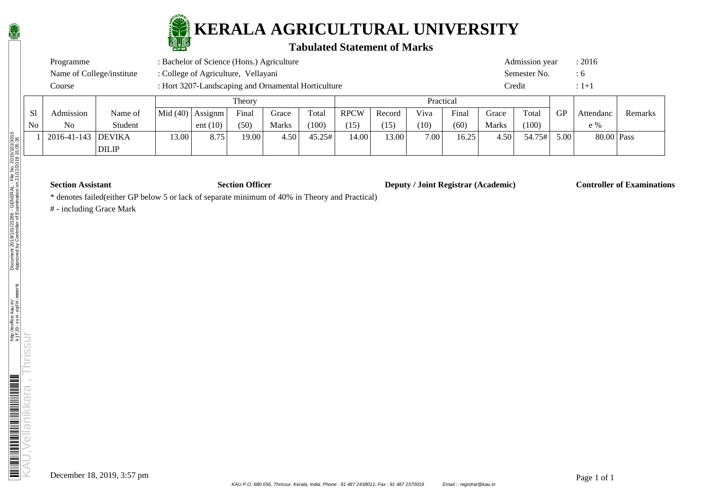

### **Tabulated Statement of Marks**

| Programme                 | : Bachelor of Science (Hons.) Agriculture           | Admission year | : 2016 |
|---------------------------|-----------------------------------------------------|----------------|--------|
| Name of College/institute | : College of Agriculture, Vellayani                 | Semester No.   |        |
| Course                    | : Hort 3207-Landscaping and Ornamental Horticulture | Credit         | $:1+1$ |

|                |                    |              |            |            | Theory |              |        |             |        | Practical |       |              |        |      |            |         |
|----------------|--------------------|--------------|------------|------------|--------|--------------|--------|-------------|--------|-----------|-------|--------------|--------|------|------------|---------|
| S1             | Admission          | Name of      | Mid $(40)$ | Assignm    | Final  | Grace        | Total  | <b>RPCW</b> | Record | Viva      | Final | Grace        | Total  | GP   | Attendanc  | Remarks |
| N <sub>0</sub> | N <sub>o</sub>     | Student      |            | ent $(10)$ | (50)   | <b>Marks</b> | (100)  | (15)        | (15)   | (10)      | (60)  | <b>Marks</b> | (100)  |      | $e\%$      |         |
|                | 2016-41-143 DEVIKA |              | 3.00       | 8.75       | 19.00  | 4.50         | 45.25# | 14.00       | 13.00  | 7.00      | 16.25 | 4.50         | 54.75# | 5.00 | 80.00 Pass |         |
|                |                    | <b>DILIP</b> |            |            |        |              |        |             |        |           |       |              |        |      |            |         |

**Section Assistant Section Officer Deputy / Joint Registrar (Academic) Controller of Examinations** 

\* denotes failed(either GP below 5 or lack of separate minimum of 40% in Theory and Practical)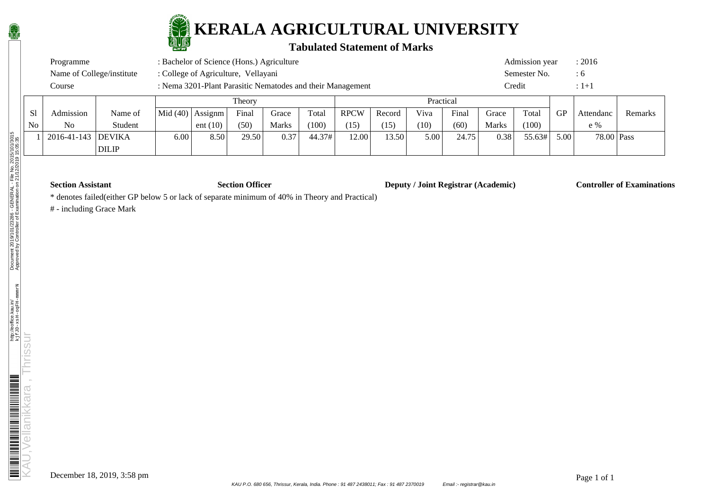

### **Tabulated Statement of Marks**

| Course                    | : Nema 3201-Plant Parasitic Nematodes and their Management<br>$\Gamma$ | $\mathbf{r}$ $\mathbf{r}$ 1 | Credit         |        |
|---------------------------|------------------------------------------------------------------------|-----------------------------|----------------|--------|
| Name of College/institute | : College of Agriculture, Vellayani                                    |                             | Semester No.   | : 6    |
| Programme                 | : Bachelor of Science (Hons.) Agriculture                              |                             | Admission year | : 2016 |

|    |                    |              |                                          |            | Theory |       |        |             |        | Practical |       |              |        |           |            |         |
|----|--------------------|--------------|------------------------------------------|------------|--------|-------|--------|-------------|--------|-----------|-------|--------------|--------|-----------|------------|---------|
| S1 | Admission          | Name of      | $\vert$ Mid (40) $\vert$ Assignm $\vert$ |            | Final  | Grace | Total  | <b>RPCW</b> | Record | Viva      | Final | Grace        | Total  | <b>GP</b> | Attendanc  | Remarks |
| No | N <sub>o</sub>     | Student      |                                          | ent $(10)$ | (50)   | Marks | (100)  | (15)        | (15)   | (10)      | (60)  | <b>Marks</b> | (100)  |           | $e\%$      |         |
|    | 2016-41-143 DEVIKA |              | 6.00                                     | 8.50       | 29.50  | 0.37  | 44.37# | 12.00       | 13.50  | 5.00      | 24.75 | 0.38         | 55.63# | 5.00      | 78.00 Pass |         |
|    |                    | <b>DILIP</b> |                                          |            |        |       |        |             |        |           |       |              |        |           |            |         |

**Section Assistant Section Officer Deputy / Joint Registrar (Academic) Controller of Examinations** 

\* denotes failed(either GP below 5 or lack of separate minimum of 40% in Theory and Practical)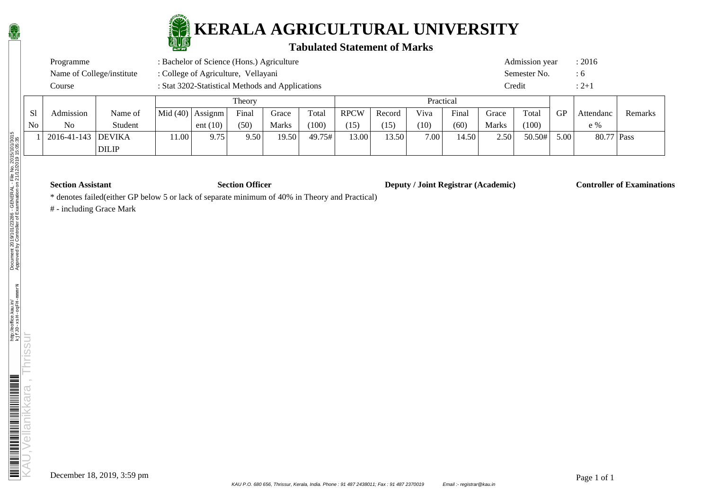

### **Tabulated Statement of Marks**

| Programme                 | : Bachelor of Science (Hons.) Agriculture        | Admission year | : 2016      |
|---------------------------|--------------------------------------------------|----------------|-------------|
| Name of College/institute | : College of Agriculture, Vellayani              | Semester No.   |             |
| Course                    | : Stat 3202-Statistical Methods and Applications | Credit         | $\cdot$ 2+1 |

|    |                    |              |                         |            | Theory |              |        |             |        | Practical |       |              |        |           |            |         |
|----|--------------------|--------------|-------------------------|------------|--------|--------------|--------|-------------|--------|-----------|-------|--------------|--------|-----------|------------|---------|
| S1 | Admission          | Name of      | $ Mid(40) $ Assignm $ $ |            | Final  | Grace        | Total  | <b>RPCW</b> | Record | Viva      | Final | Grace        | Total  | <b>GP</b> | Attendanc  | Remarks |
| No | N <sub>o</sub>     | Student      |                         | ent $(10)$ | (50)   | <b>Marks</b> | (100)  | (15)        | (15)   | (10)      | (60)  | <b>Marks</b> | (100)  |           | $e\%$      |         |
|    | 2016-41-143 DEVIKA |              | 1.00 <sub>l</sub>       | 9.75       | 9.50   | 19.50        | 49.75# | 13.00       | 13.50  | 7.00      | 14.50 | 2.50         | 50.50# | 5.00      | 80.77 Pass |         |
|    |                    | <b>DILIP</b> |                         |            |        |              |        |             |        |           |       |              |        |           |            |         |

**Section Assistant Section Officer Deputy / Joint Registrar (Academic) Controller of Examinations** 

\* denotes failed(either GP below 5 or lack of separate minimum of 40% in Theory and Practical)